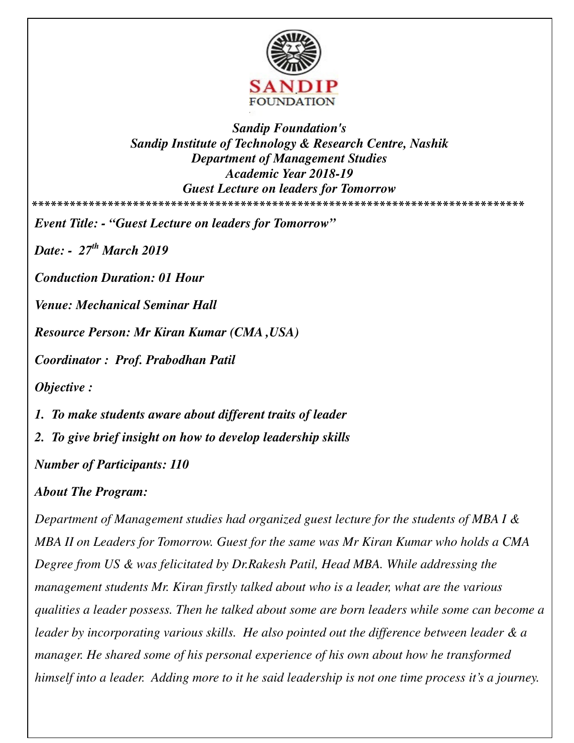

*Sandip Foundation's Sandip Institute of Technology & Research Centre, Nashik Department of Management Studies Academic Year 2018-19 Guest Lecture on leaders for Tomorrow*  **\*\*\*\*\*\*\*\*\*\*\*\*\*\*\*\*\*\*\*\*\*\*\*\*\*\*\*\*\*\*\*\*\*\*\*\*\*\*\*\*\*\*\*\*\*\*\*\*\*\*\*\*\*\*\*\*\*\*\*\*\*\*\*\*\*\*\*\*\*\*\*\*\*\*\*\*\*\*** 

*Event Title: - "Guest Lecture on leaders for Tomorrow"* 

*Date: - 27th March 2019* 

*Conduction Duration: 01 Hour* 

*Venue: Mechanical Seminar Hall* 

*Resource Person: Mr Kiran Kumar (CMA ,USA)* 

*Coordinator : Prof. Prabodhan Patil* 

*Objective :* 

*1. To make students aware about different traits of leader* 

*2. To give brief insight on how to develop leadership skills* 

*Number of Participants: 110* 

## *About The Program:*

*Department of Management studies had organized guest lecture for the students of MBA I & MBA II on Leaders for Tomorrow. Guest for the same was Mr Kiran Kumar who holds a CMA Degree from US & was felicitated by Dr.Rakesh Patil, Head MBA. While addressing the management students Mr. Kiran firstly talked about who is a leader, what are the various qualities a leader possess. Then he talked about some are born leaders while some can become a leader by incorporating various skills. He also pointed out the difference between leader & a manager. He shared some of his personal experience of his own about how he transformed himself into a leader. Adding more to it he said leadership is not one time process it's a journey.*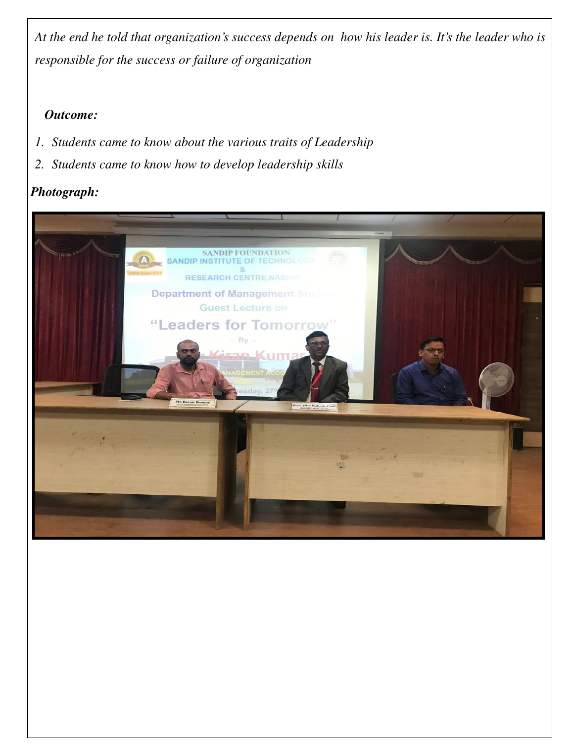*At the end he told that organization's success depends on how his leader is. It's the leader who is responsible for the success or failure of organization* 

## *Outcome:*

- *1. Students came to know about the various traits of Leadership*
- *2. Students came to know how to develop leadership skills*

## *Photograph:*